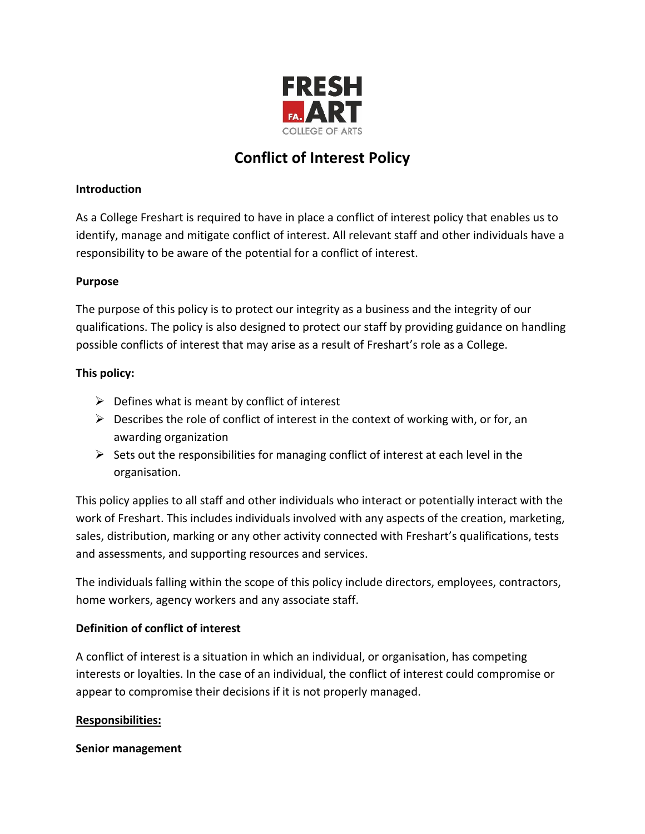

# **Conflict of Interest Policy**

## **Introduction**

As a College Freshart is required to have in place a conflict of interest policy that enables us to identify, manage and mitigate conflict of interest. All relevant staff and other individuals have a responsibility to be aware of the potential for a conflict of interest.

### **Purpose**

The purpose of this policy is to protect our integrity as a business and the integrity of our qualifications. The policy is also designed to protect our staff by providing guidance on handling possible conflicts of interest that may arise as a result of Freshart's role as a College.

### **This policy:**

- $\triangleright$  Defines what is meant by conflict of interest
- $\triangleright$  Describes the role of conflict of interest in the context of working with, or for, an awarding organization
- $\triangleright$  Sets out the responsibilities for managing conflict of interest at each level in the organisation.

This policy applies to all staff and other individuals who interact or potentially interact with the work of Freshart. This includes individuals involved with any aspects of the creation, marketing, sales, distribution, marking or any other activity connected with Freshart's qualifications, tests and assessments, and supporting resources and services.

The individuals falling within the scope of this policy include directors, employees, contractors, home workers, agency workers and any associate staff.

# **Definition of conflict of interest**

A conflict of interest is a situation in which an individual, or organisation, has competing interests or loyalties. In the case of an individual, the conflict of interest could compromise or appear to compromise their decisions if it is not properly managed.

#### **Responsibilities:**

#### **Senior management**